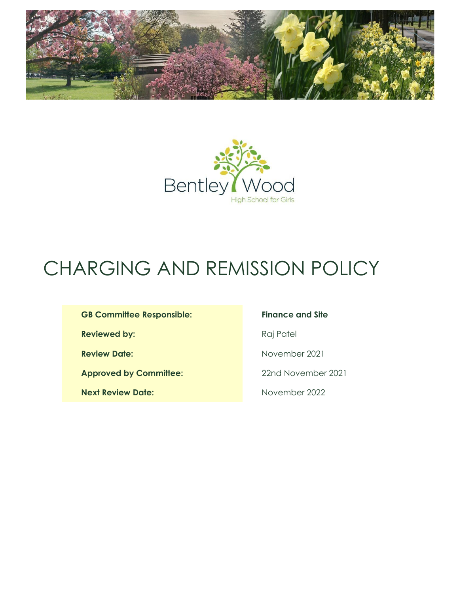



# CHARGING AND REMISSION POLICY

### **GB Committee Responsible: Finance and Site**

**Reviewed by:** Raj Patel Raj Patel Raj Patel

**Approved by Committee:** 22nd November 2021

**Next Review Date:** November 2022

**Review Date:** November 2021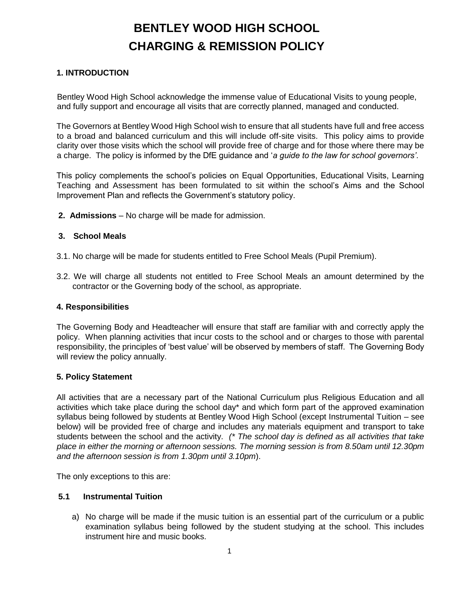## **BENTLEY WOOD HIGH SCHOOL CHARGING & REMISSION POLICY**

#### **1. INTRODUCTION**

Bentley Wood High School acknowledge the immense value of Educational Visits to young people, and fully support and encourage all visits that are correctly planned, managed and conducted.

The Governors at Bentley Wood High School wish to ensure that all students have full and free access to a broad and balanced curriculum and this will include off-site visits. This policy aims to provide clarity over those visits which the school will provide free of charge and for those where there may be a charge. The policy is informed by the DfE guidance and '*a guide to the law for school governors'*.

This policy complements the school's policies on Equal Opportunities, Educational Visits, Learning Teaching and Assessment has been formulated to sit within the school's Aims and the School Improvement Plan and reflects the Government's statutory policy.

**2. Admissions** – No charge will be made for admission.

#### **3. School Meals**

- 3.1. No charge will be made for students entitled to Free School Meals (Pupil Premium).
- 3.2. We will charge all students not entitled to Free School Meals an amount determined by the contractor or the Governing body of the school, as appropriate.

#### **4. Responsibilities**

The Governing Body and Headteacher will ensure that staff are familiar with and correctly apply the policy. When planning activities that incur costs to the school and or charges to those with parental responsibility, the principles of 'best value' will be observed by members of staff. The Governing Body will review the policy annually.

#### **5. Policy Statement**

All activities that are a necessary part of the National Curriculum plus Religious Education and all activities which take place during the school day\* and which form part of the approved examination syllabus being followed by students at Bentley Wood High School (except Instrumental Tuition – see below) will be provided free of charge and includes any materials equipment and transport to take students between the school and the activity. *(\* The school day is defined as all activities that take place in either the morning or afternoon sessions. The morning session is from 8.50am until 12.30pm and the afternoon session is from 1.30pm until 3.10pm*).

The only exceptions to this are:

#### **5.1 Instrumental Tuition**

a) No charge will be made if the music tuition is an essential part of the curriculum or a public examination syllabus being followed by the student studying at the school. This includes instrument hire and music books.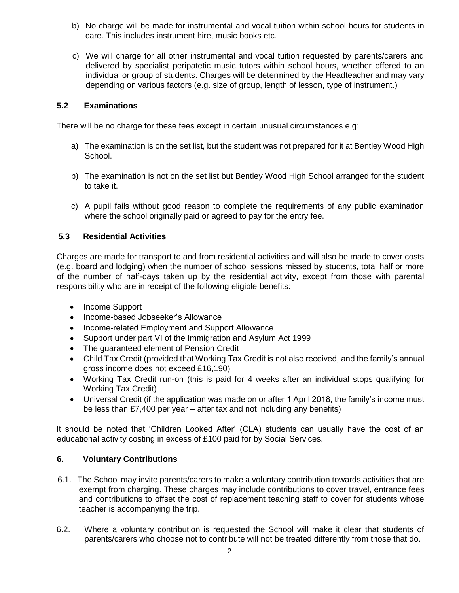- b) No charge will be made for instrumental and vocal tuition within school hours for students in care. This includes instrument hire, music books etc.
- c) We will charge for all other instrumental and vocal tuition requested by parents/carers and delivered by specialist peripatetic music tutors within school hours, whether offered to an individual or group of students. Charges will be determined by the Headteacher and may vary depending on various factors (e.g. size of group, length of lesson, type of instrument.)

#### **5.2 Examinations**

There will be no charge for these fees except in certain unusual circumstances e.g:

- a) The examination is on the set list, but the student was not prepared for it at Bentley Wood High School.
- b) The examination is not on the set list but Bentley Wood High School arranged for the student to take it.
- c) A pupil fails without good reason to complete the requirements of any public examination where the school originally paid or agreed to pay for the entry fee.

#### **5.3 Residential Activities**

Charges are made for transport to and from residential activities and will also be made to cover costs (e.g. board and lodging) when the number of school sessions missed by students, total half or more of the number of half-days taken up by the residential activity, except from those with parental responsibility who are in receipt of the following eligible benefits:

- Income Support
- Income-based Jobseeker's Allowance
- Income-related Employment and Support Allowance
- Support under part VI of the Immigration and Asylum Act 1999
- The guaranteed element of Pension Credit
- Child Tax Credit (provided that Working Tax Credit is not also received, and the family's annual gross income does not exceed £16,190)
- Working Tax Credit run-on (this is paid for 4 weeks after an individual stops qualifying for Working Tax Credit)
- Universal Credit (if the application was made on or after 1 April 2018, the family's income must be less than £7,400 per year – after tax and not including any benefits)

It should be noted that 'Children Looked After' (CLA) students can usually have the cost of an educational activity costing in excess of £100 paid for by Social Services.

#### **6. Voluntary Contributions**

- 6.1. The School may invite parents/carers to make a voluntary contribution towards activities that are exempt from charging. These charges may include contributions to cover travel, entrance fees and contributions to offset the cost of replacement teaching staff to cover for students whose teacher is accompanying the trip.
- 6.2. Where a voluntary contribution is requested the School will make it clear that students of parents/carers who choose not to contribute will not be treated differently from those that do.